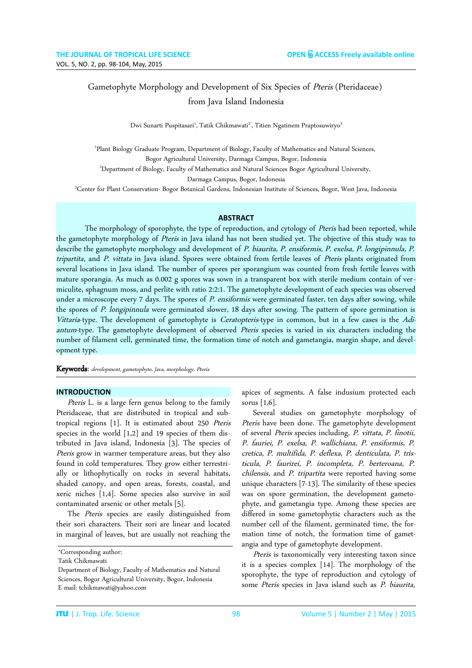# Gametophyte Morphology and Development of Six Species of Pteris (Pteridaceae) from Java Island Indonesia

Dwi Sunarti Puspitasari<sup>1</sup>, Tatik Chikmawati<sup>2</sup>', Titien Ngatinem Praptosuwiryo<sup>3</sup>

1 Plant Biology Graduate Program, Department of Biology, Faculty of Mathematics and Natural Sciences, Bogor Agricultural University, Darmaga Campus, Bogor, Indonesia <sup>2</sup>Department of Biology, Faculty of Mathematics and Natural Sciences Bogor Agricultural University, Darmaga Campus, Bogor, Indonesia

<sup>3</sup>Center for Plant Conservation- Bogor Botanical Gardens, Indonesian Institute of Sciences, Bogor, West Java, Indonesia

### **ABSTRACT**

The morphology of sporophyte, the type of reproduction, and cytology of Pteris had been reported, while the gametophyte morphology of Pteris in Java island has not been studied yet. The objective of this study was to describe the gametophyte morphology and development of P. biaurita, P. ensiformis, P. exelsa, P. longipinnula, P. tripartita, and P. vittata in Java island. Spores were obtained from fertile leaves of Pteris plants originated from several locations in Java island. The number of spores per sporangium was counted from fresh fertile leaves with mature sporangia. As much as 0.002 g spores was sown in a transparent box with sterile medium contain of vermiculite, sphagnum moss, and perlite with ratio 2:2:1. The gametophyte development of each species was observed under a microscope every 7 days. The spores of P. ensiformis were germinated faster, ten days after sowing, while the spores of P. longipinnula were germinated slower, 18 days after sowing. The pattern of spore germination is Vittaria-type. The development of gametophyte is Ceratopteris-type in common, but in a few cases is the Adiantum-type. The gametophyte development of observed Pteris species is varied in six characters including the number of filament cell, germinated time, the formation time of notch and gametangia, margin shape, and development type.

Keywords: development, gametophyte, Java, morphology, Pteris

### **INTRODUCTION**

Pteris L. is a large fern genus belong to the family Pteridaceae, that are distributed in tropical and subtropical regions [1]. It is estimated about 250 Pteris species in the world [1,2] and 19 species of them distributed in Java island, Indonesia [3]. The species of Pteris grow in warmer temperature areas, but they also found in cold temperatures. They grow either terrestrially or lithophytically on rocks in several habitats, shaded canopy, and open areas, forests, coastal, and xeric niches [1,4]. Some species also survive in soil contaminated arsenic or other metals [5].

The Pteris species are easily distinguished from their sori characters. Their sori are linear and located in marginal of leaves, but are usually not reaching the apices of segments. A false indusium protected each sorus [1,6].

Several studies on gametophyte morphology of Pteris have been done. The gametophyte development of several Pteris species including, P. vittata, P. finotii, P. fauriei, P. exelsa, P. wallichiana, P. ensiformis, P. cretica, P. multifida, P. deflexa, P. denticulata, P. tristicula, P. faurirei, P. incompleta, P. berteroana, P. chilensis, and P. tripartita were reported having some unique characters [7-13]. The similarity of these species was on spore germination, the development gametophyte, and gametangia type. Among these species are differed in some gametophytic characters such as the number cell of the filament, germinated time, the formation time of notch, the formation time of gametangia and type of gametophyte development.

Pteris is taxonomically very interesting taxon since it is a species complex [14]. The morphology of the sporophyte, the type of reproduction and cytology of some Pteris species in Java island such as P. biaurita,

<sup>\*</sup>Corresponding author:

Tatik Chikmawati

Department of Biology, Faculty of Mathematics and Natural Sciences, Bogor Agricultural University, Bogor, Indonesia E-mail: tchikmawati@yahoo.com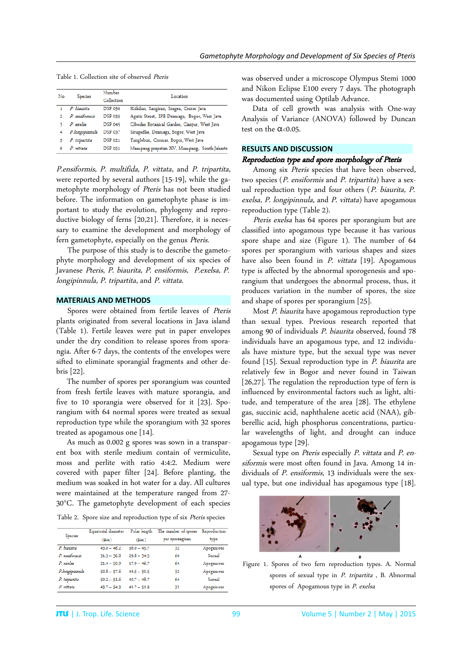| No | <b>Species</b> | Number<br>Collection | Location                                     |  |  |  |
|----|----------------|----------------------|----------------------------------------------|--|--|--|
|    | P. biaurita    | <b>DSP 050</b>       | Krikilan, Sangiran, Sragen, Center Java      |  |  |  |
| 2  | P. ensiformis  | <b>DSP 035</b>       | Agatis Street, IPB Dramaga, Bogor, West Java |  |  |  |
| ٩  | P. exelsa      | <b>DSP 045</b>       | Cibodas Botanical Garden, Cianjur, West Java |  |  |  |
| 4  | P.longipinnula | <b>DSP 037</b>       | Situgedhe, Dramaga, Bogor, West Java         |  |  |  |
| 5  | P. tripartita  | <b>DSP 021</b>       | Tanglebun, Ciomas, Bogor, West Java          |  |  |  |
| 6  | P vittata      | <b>DSP 051</b>       | Mampang prapatan XV, Mampang, South Jakarta  |  |  |  |

Table 1. Collection site of observed Pteris

P.ensiformis, P. multifida, P. vittata, and P. tripartita, were reported by several authors [15-19], while the gametophyte morphology of Pteris has not been studied before. The information on gametophyte phase is important to study the evolution, phylogeny and reproductive biology of ferns [20,21]. Therefore, it is necessary to examine the development and morphology of fern gametophyte, especially on the genus Pteris.

The purpose of this study is to describe the gametophyte morphology and development of six species of Javanese Pteris, P. biaurita, P. ensiformis, P.exelsa, P. longipinnula, P. tripartita, and P. vittata.

## **MATERIALS AND METHODS**

Spores were obtained from fertile leaves of Pteris plants originated from several locations in Java island (Table 1). Fertile leaves were put in paper envelopes under the dry condition to release spores from sporangia. After 6-7 days, the contents of the envelopes were sifted to eliminate sporangial fragments and other debris [22].

The number of spores per sporangium was counted from fresh fertile leaves with mature sporangia, and five to 10 sporangia were observed for it [23]. Sporangium with 64 normal spores were treated as sexual reproduction type while the sporangium with 32 spores treated as apogamous one [14].

As much as 0.002 g spores was sown in a transparent box with sterile medium contain of vermiculite, moss and perlite with ratio 4:4:2. Medium were covered with paper filter [24]. Before planting, the medium was soaked in hot water for a day. All cultures were maintained at the temperature ranged from 27- 30°C. The gametophyte development of each species

Table 2. Spore size and reproduction type of six Pteris species

|                | Equatorial diameter | Polar length  | The number of spores Reproduction | type      |  |
|----------------|---------------------|---------------|-----------------------------------|-----------|--|
| <b>Species</b> | $(\mu m)$           | (Lm)          | per sporangium                    |           |  |
| P. biaurita    | $43.0 - 46.2$       | $36.0 - 45.7$ | 32                                | Apogamous |  |
| P ensiformis   | $31.3 - 36.8$       | $29.8 - 34.5$ | 64                                | Sexual    |  |
| P. exelsa      | $21.4 - 50.9$       | $17.9 - 46.7$ | 64                                | Apogamous |  |
| P.longipinnula | $50.8 - 57.6$       | $44.5 - 50.5$ | 32                                | Apogamous |  |
| P. tripartita  | $50.2 - 51.6$       | $40.7 - 48.7$ | 64                                | Sexual    |  |
| P. vittata     | $43.7 - 54.3$       | $41.7 - 51.9$ | 32                                | Apogamous |  |

was observed under a microscope Olympus Stemi 1000 and Nikon Eclipse E100 every 7 days. The photograph was documented using Optilab Advance.

Data of cell growth was analysis with One-way Analysis of Variance (ANOVA) followed by Duncan test on the  $\alpha$ <0.05.

## **RESULTS AND DISCUSSION**

## Reproduction type and spore morphology of Pteris

Among six Pteris species that have been observed, two species (P. ensiformis and P. tripartita) have a sexual reproduction type and four others (P. biaurita, P. exelsa, P. longipinnula, and P. vittata) have apogamous reproduction type (Table 2).

Pteris exelsa has 64 spores per sporangium but are classified into apogamous type because it has various spore shape and size (Figure 1). The number of 64 spores per sporangium with various shapes and sizes have also been found in P. vittata [19]. Apogamous type is affected by the abnormal sporogenesis and sporangium that undergoes the abnormal process, thus, it produces variation in the number of spores, the size and shape of spores per sporangium [25].

Most P. biaurita have apogamous reproduction type than sexual types. Previous research reported that among 90 of individuals P. biaurita observed, found 78 individuals have an apogamous type, and 12 individuals have mixture type, but the sexual type was never found [15]. Sexual reproduction type in P. biaurita are relatively few in Bogor and never found in Taiwan [26,27]. The regulation the reproduction type of fern is influenced by environmental factors such as light, altitude, and temperature of the area [28]. The ethylene gas, succinic acid, naphthalene acetic acid (NAA), gibberellic acid, high phosphorus concentrations, particular wavelengths of light, and drought can induce apogamous type [29].

Sexual type on Pteris especially P. vittata and P. ensiformis were most often found in Java. Among 14 individuals of P. ensiformis, 13 individuals were the sexual type, but one individual has apogamous type [18].



Figure 1. Spores of two fern reproduction types. A. Normal spores of sexual type in P. tripartita , B. Abnormal spores of Apogamous type in P. exelsa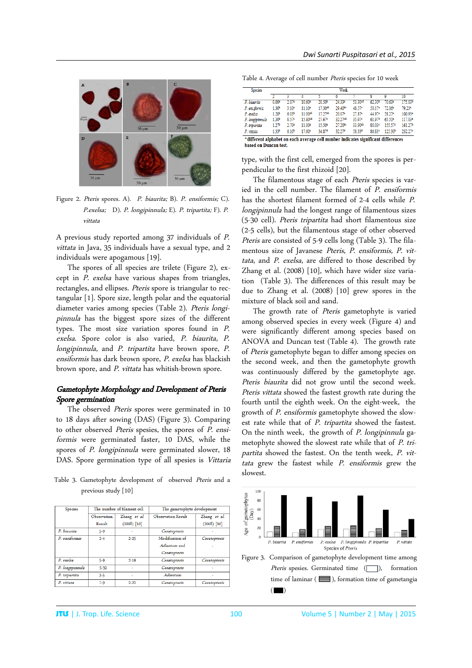

Figure 2. Pteris spores. A). P. biaurita; B). P. ensiformis; C). P.exelsa; D). P. longipinnula; E). P. tripartita; F). P. vittata

A previous study reported among 37 individuals of P. vittata in Java, 35 individuals have a sexual type, and 2 individuals were apogamous [19].

The spores of all species are trilete (Figure 2), except in P. exelsa have various shapes from triangles, rectangles, and ellipses. Pteris spore is triangular to rectangular [1]. Spore size, length polar and the equatorial diameter varies among species (Table 2). Pteris longipinnula has the biggest spore sizes of the different types. The most size variation spores found in P. exelsa. Spore color is also varied, P. biaurita, P. longipinnula, and P. tripartita have brown spore, P. ensiformis has dark brown spore, P. exelsa has blackish brown spore, and P. vittata has whitish-brown spore.

# Gametophyte Morphology and Development of Pteris Spore germination

The observed Pteris spores were germinated in 10 to 18 days after sowing (DAS) (Figure 3). Comparing to other observed Pteris spesies, the spores of P. ensiformis were germinated faster, 10 DAS, while the spores of P. longipinnula were germinated slower, 18 DAS. Spore germination type of all spesies is Vittaria

Table 3. Gametophyte development of observed Pteris and a previous study [10]

| <b>Species</b>  |             | The number of filament cell | The gametophyte development |               |  |  |
|-----------------|-------------|-----------------------------|-----------------------------|---------------|--|--|
|                 | Observation | Zhang et al.                | <b>Observation Result</b>   | Zhang et al.  |  |  |
|                 | Result      | $(2008)$ [10]               |                             | $(2008)$ [10] |  |  |
| P. hiaurita     | $5 - 9$     |                             | Ceratopteris                |               |  |  |
| P. ensiformis   | $2 - 4$     | $2 - 25$                    | Modification of             | Ceratopteris  |  |  |
|                 |             |                             | Adiantum and                |               |  |  |
|                 |             |                             | Ceratopteris                |               |  |  |
| P. exelsa       | $5-9$       | $2 - 19$                    | Ceratopteris                | Ceratopteris  |  |  |
| P. longipinnula | $5 - 32$    |                             | Ceratopteris                |               |  |  |
| P. tripartita   | $3 - 5$     |                             | Adiantum                    |               |  |  |
| P. vittata      | $7 - 9$     | $2 - 22$                    | Ceratopteris                | Ceratopteris  |  |  |

Table 4. Average of cell number Pteris species for 10 week

| <b>Species</b>  | Week              |                   |           |                    |                     |                    |                    |                     |                     |
|-----------------|-------------------|-------------------|-----------|--------------------|---------------------|--------------------|--------------------|---------------------|---------------------|
|                 |                   |                   |           |                    |                     |                    |                    |                     | $\overline{10}$     |
| $P.$ biaurita   | 0.00 <sup>5</sup> | 2.07 <sup>2</sup> | $10.60*$  | 20.50 <sup>b</sup> | $24.33*$            | 53 30cd            | 62.30 <sup>b</sup> | 70.63*              | 175.03b             |
| P. ensiformis   | 1.30 <sup>b</sup> | 3.10 <sup>2</sup> | $11.10^*$ | 17 30ab            | 29.40 <sup>bc</sup> | 48.57 <sup>c</sup> | 50 17*             | 72.06ª              | 79.23*              |
| P. exelsa       | 1.20 <sup>b</sup> | 6.03 <sup>b</sup> | 11.00ab   | 17 27ab            | 20.07 <sup>a</sup>  | 27.87*             | 44 Q7 <sup>a</sup> | 58.27*              | 100.93*             |
| P. longipinnula | 1.30 <sup>b</sup> | 8.57 <sup>c</sup> | 15.80cd   | 27.67°             | 32.27 <sup>cd</sup> | 35.97%             | 61.97b             | 65.50*              | 117.03*             |
| P. tripartita   | 1.27 <sup>b</sup> | $2.70^{\circ}$    | 11.00*    | 15.50*             | $27.20^{bc}$        | 33.90ab            | 80.03 <sup>c</sup> | 155.579             | 161.27 <sup>b</sup> |
| P. vittata      | 1.33 <sup>b</sup> | $6.10^{b}$        | 17.60°    | 34.87 <sup>d</sup> | 32.274              | 58.334             | 86.83c             | 125.30 <sup>b</sup> | 232.27°             |

\*different alphabet on each average cell number indicates significant differences based on Duncan test.

type, with the first cell, emerged from the spores is perpendicular to the first rhizoid [20].

The filamentous stage of each Pteris species is varied in the cell number. The filament of P. ensiformis has the shortest filament formed of 2-4 cells while P. longipinnula had the longest range of filamentous sizes (5-30 cell). Pteris tripartita had short filamentous size (2-5 cells), but the filamentous stage of other observed Pteris are consisted of 5-9 cells long (Table 3). The filamentous size of Javanese Pteris, P. ensiformis, P. vittata, and P. exelsa, are differed to those described by Zhang et al. (2008) [10], which have wider size variation (Table 3). The differences of this result may be due to Zhang et al. (2008) [10] grew spores in the mixture of black soil and sand.

The growth rate of Pteris gametophyte is varied among observed species in every week (Figure 4) and were significantly different among species based on ANOVA and Duncan test (Table 4). The growth rate of Pteris gametophyte began to differ among species on the second week, and then the gametophyte growth was continuously differed by the gametophyte age. Pteris biaurita did not grow until the second week. Pteris vittata showed the fastest growth rate during the fourth until the eighth week. On the eight-week, the growth of P. ensiformis gametophyte showed the slowest rate while that of P. tripartita showed the fastest. On the ninth week, the growth of P. longipinnula gametophyte showed the slowest rate while that of P. tripartita showed the fastest. On the tenth week, P. vittata grew the fastest while P. ensiformis grew the slowest.



Figure 3. Comparison of gametophyte development time among Pteris spesies. Germinated time  $(\Box)$ , formation time of laminar ( $\equiv$ ), formation time of gametangia  $($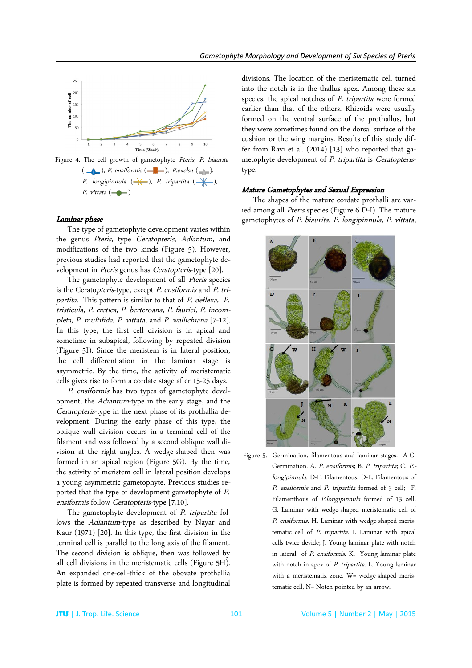

P. longipinnula  $(\rightarrow\hspace{-4pt}\rightarrow\hspace{-4pt}\rightarrow)$ , P. tripartita  $(\rightarrow\hspace{-4pt}\rightarrow\hspace{-4pt}\rightarrow)$ , P. vittata  $(- \rightarrow )$ 

## Laminar phase

 The type of gametophyte development varies within the genus Pteris, type Ceratopteris, Adiantum, and modifications of the two kinds (Figure 5). However, previous studies had reported that the gametophyte development in Pteris genus has Ceratopteris-type [20].

The gametophyte development of all *Pteris* species is the Ceratopteris-type, except P. ensiformis and P. tripartita. This pattern is similar to that of P. deflexa, P. tristicula, P. cretica, P. berteroana, P. fauriei, P. incompleta, P. multifida, P. vittata, and P. wallichiana [7-12]. In this type, the first cell division is in apical and sometime in subapical, following by repeated division (Figure 5I). Since the meristem is in lateral position, the cell differentiation in the laminar stage is asymmetric. By the time, the activity of meristematic cells gives rise to form a cordate stage after 15-25 days.

P. ensiformis has two types of gametophyte development, the Adiantum-type in the early stage, and the Ceratopteris-type in the next phase of its prothallia development. During the early phase of this type, the oblique wall division occurs in a terminal cell of the filament and was followed by a second oblique wall division at the right angles. A wedge-shaped then was formed in an apical region (Figure 5G). By the time, the activity of meristem cell in lateral position develops a young asymmetric gametophyte. Previous studies reported that the type of development gametophyte of P. ensiformis follow Ceratopteris-type [7,10].

The gametophyte development of P. tripartita follows the *Adiantum*-type as described by Nayar and Kaur (1971) [20]. In this type, the first division in the terminal cell is parallel to the long axis of the filament. The second division is oblique, then was followed by all cell divisions in the meristematic cells (Figure 5H). An expanded one-cell-thick of the obovate prothallia plate is formed by repeated transverse and longitudinal

divisions. The location of the meristematic cell turned into the notch is in the thallus apex. Among these six species, the apical notches of *P. tripartita* were formed earlier than that of the others. Rhizoids were usually formed on the ventral surface of the prothallus, but they were sometimes found on the dorsal surface of the cushion or the wing margins. Results of this study differ from Ravi et al. (2014) [13] who reported that gametophyte development of P. tripartita is Ceratopteristype.

# Mature Gametophytes and Sexual Expression

The shapes of the mature cordate prothalli are varied among all Pteris species (Figure 6 D-I). The mature gametophytes of P. biaurita, P. longipinnula, P. vittata,



Figure 5. Germination, filamentous and laminar stages. A-C. Germination. A. P. ensiformis; B. P. tripartita; C. P. longipinnula. D-F. Filamentous. D-E. Filamentous of P. ensiformis and P. tripartita formed of 3 cell; F. Filamenthous of P.longipinnula formed of 13 cell. G. Laminar with wedge-shaped meristematic cell of P. ensiformis. H. Laminar with wedge-shaped meristematic cell of P. tripartita. I. Laminar with apical cells twice devide; J. Young laminar plate with notch in lateral of P. ensiformis. K. Young laminar plate with notch in apex of P. tripartita. L. Young laminar with a meristematiz zone. W= wedge-shaped meristematic cell, N= Notch pointed by an arrow.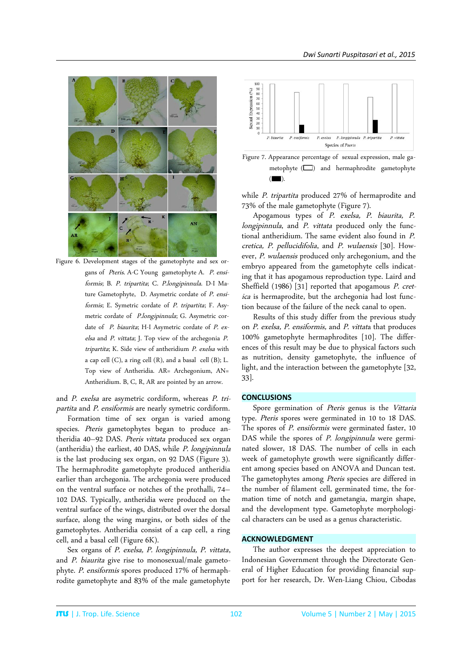

Figure 6. Development stages of the gametophyte and sex organs of Pteris. A-C Young gametophyte A. P. ensiformis; B. P. tripartita; C. P.longipinnula. D-I Mature Gametophyte, D. Asymetric cordate of P. ensiformis; E. Symetric cordate of P. tripartita; F. Asymetric cordate of P.longipinnula; G. Asymetric cordate of P. biaurita; H-I Asymetric cordate of P. exelsa and P. vittata; J. Top view of the archegonia P. tripartita; K. Side view of antheridium P. exelsa with a cap cell (C), a ring cell (R), and a basal cell (B); L. Top view of Antheridia. AR= Archegonium, AN= Antheridium. B, C, R, AR are pointed by an arrow.

and P. exelsa are asymetric cordiform, whereas P. tripartita and P. ensiformis are nearly symetric cordiform.

Formation time of sex organ is varied among species. Pteris gametophytes began to produce antheridia 40–92 DAS. Pteris vittata produced sex organ (antheridia) the earliest, 40 DAS, while P. longipinnula is the last producing sex organ, on 92 DAS (Figure 3). The hermaphrodite gametophyte produced antheridia earlier than archegonia. The archegonia were produced on the ventral surface or notches of the prothalli, 74– 102 DAS. Typically, antheridia were produced on the ventral surface of the wings, distributed over the dorsal surface, along the wing margins, or both sides of the gametophytes. Antheridia consist of a cap cell, a ring cell, and a basal cell (Figure 6K).

Sex organs of P. exelsa, P. longipinnula, P. vittata, and P. biaurita give rise to monosexual/male gametophyte. P. ensiformis spores produced 17% of hermaphrodite gametophyte and 83% of the male gametophyte



Figure 7. Appearance percentage of sexual expression, male gametophyte  $(\Box)$  and hermaphrodite gametophyte  $($   $)$ 

while P. tripartita produced 27% of hermaprodite and 73% of the male gametophyte (Figure 7).

Apogamous types of P. exelsa, P. biaurita, P. longipinnula, and P. vittata produced only the functional antheridium. The same evident also found in P. cretica, P. pellucidifolia, and P. wulaensis [30]. However, P. wulaensis produced only archegonium, and the embryo appeared from the gametophyte cells indicating that it has apogamous reproduction type. Laird and Sheffield (1986) [31] reported that apogamous P. cretica is hermaprodite, but the archegonia had lost function because of the failure of the neck canal to open.

Results of this study differ from the previous study on P. exelsa, P. ensiformis, and P. vittata that produces 100% gametophyte hermaphrodites [10]. The differences of this result may be due to physical factors such as nutrition, density gametophyte, the influence of light, and the interaction between the gametophyte [32, 33].

# **CONCLUSIONS**

Spore germination of Pteris genus is the Vittaria type. Pteris spores were germinated in 10 to 18 DAS. The spores of *P. ensiformis* were germinated faster, 10 DAS while the spores of P. longipinnula were germinated slower, 18 DAS. The number of cells in each week of gametophyte growth were significantly different among species based on ANOVA and Duncan test. The gametophytes among Pteris species are differed in the number of filament cell, germinated time, the formation time of notch and gametangia, margin shape, and the development type. Gametophyte morphological characters can be used as a genus characteristic.

## **ACKNOWLEDGMENT**

The author expresses the deepest appreciation to Indonesian Government through the Directorate General of Higher Education for providing financial support for her research, Dr. Wen-Liang Chiou, Cibodas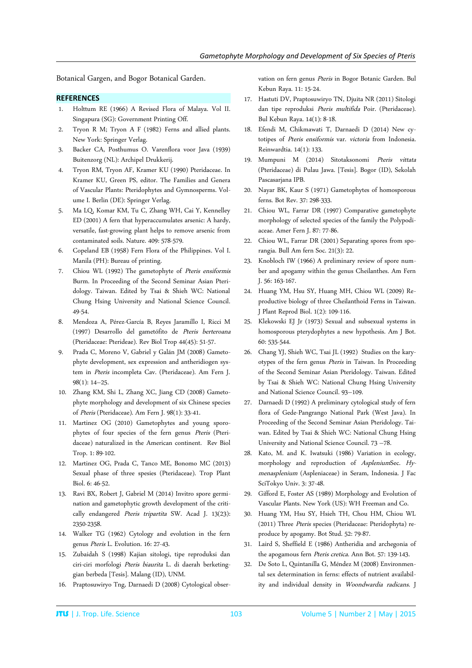Botanical Gargen, and Bogor Botanical Garden.

### **REFERENCES**

- 1. Holttum RE (1966) A Revised Flora of Malaya. Vol II. Singapura (SG): Government Printing Off.
- 2. Tryon R M; Tryon A F (1982) Ferns and allied plants. New York: Springer Verlag.
- 3. Backer CA, Posthumus O. Varenflora voor Java (1939) Buitenzorg (NL): Archipel Drukkerij.
- 4. Tryon RM, Tryon AF, Kramer KU (1990) Pteridaceae. In Kramer KU, Green PS, editor. The Families and Genera of Vascular Plants: Pteridophytes and Gymnosperms. Volume I. Berlin (DE): Springer Verlag.
- 5. Ma LQ, Komar KM, Tu C, Zhang WH, Cai Y, Kennelley ED (2001) A fern that hyperaccumulates arsenic: A hardy, versatile, fast-growing plant helps to remove arsenic from contaminated soils. Nature. 409: 578-579.
- 6. Copeland EB (1958) Fern Flora of the Philippines. Vol I. Manila (PH): Bureau of printing.
- 7. Chiou WL (1992) The gametophyte of Pteris ensiformis Burm. In Proceeding of the Second Seminar Asian Pteridology. Taiwan. Edited by Tsai & Shieh WC: National Chung Hsing University and National Science Council. 49-54.
- 8. Mendoza A, Pérez-García B, Reyes Jaramillo I, Ricci M (1997) Desarrollo del gametófito de Pteris berteroana (Pteridaceae: Pterideae). Rev Biol Trop 44(45): 51-57.
- 9. Prada C, Moreno V, Gabriel y Galán JM (2008) Gametophyte development, sex expression and antheridiogen system in Pteris incompleta Cav. (Pteridaceae). Am Fern J. 98(1): 14–25.
- 10. Zhang KM, Shi L, Zhang XC, Jiang CD (2008) Gametophyte morphology and development of six Chinese species of Pteris (Pteridaceae). Am Fern J. 98(1): 33-41.
- 11. Martinez OG (2010) Gametophytes and young sporophytes of four species of the fern genus Pteris (Pteridaceae) naturalized in the American continent. Rev Biol Trop. 1: 89-102.
- 12. Martinez OG, Prada C, Tanco ME, Bonomo MC (2013) Sexual phase of three spesies (Pteridaceae). Trop Plant Biol. 6: 46-52.
- 13. Ravi BX, Robert J, Gabriel M (2014) Invitro spore germination and gametophytic growth development of the critically endangered Pteris tripartita SW. Acad J. 13(23): 2350-2358.
- 14. Walker TG (1962) Cytology and evolution in the fern genus Pteris L. Evolution. 16: 27-43.
- 15. Zubaidah S (1998) Kajian sitologi, tipe reproduksi dan ciri-ciri morfologi Pteris biaurita L. di daerah berketinggian berbeda [Tesis]. Malang (ID), UNM.
- 16. Praptosuwiryo Tng, Darnaedi D (2008) Cytological obser-

vation on fern genus Pteris in Bogor Botanic Garden. Bul Kebun Raya. 11: 15-24.

- 17. Hastuti DV, Praptosuwiryo TN, Djuita NR (2011) Sitologi dan tipe reproduksi Pteris multifida Poir. (Pteridaceae). Bul Kebun Raya. 14(1): 8-18.
- 18. Efendi M, Chikmawati T, Darnaedi D (2014) New cytotipes of Pteris ensiformis var. victoria from Indonesia. Reinwardtia. 14(1): 133.
- 19. Mumpuni M (2014) Sitotaksonomi Pteris vittata (Pteridaceae) di Pulau Jawa. [Tesis]. Bogor (ID), Sekolah Pascasarjana IPB.
- 20. Nayar BK, Kaur S (1971) Gametophytes of homosporous ferns. Bot Rev. 37: 298-333.
- 21. Chiou WL, Farrar DR (1997) Comparative gametophyte morphology of selected species of the family the Polypodiaceae. Amer Fern J. 87: 77-86.
- 22. Chiou WL, Farrar DR (2001) Separating spores from sporangia. Bull Am fern Soc. 21(3): 22.
- 23. Knobloch IW (1966) A preliminary review of spore number and apogamy within the genus Cheilanthes. Am Fern J. 56: 163-167.
- 24. Huang YM, Hsu SY, Huang MH, Chiou WL (2009) Reproductive biology of three Cheilanthoid Ferns in Taiwan. J Plant Reprod Biol. 1(2): 109-116.
- 25. Klekowski EJ Jr (1973) Sexual and subsexual systems in homosporous pterydophytes a new hypothesis. Am J Bot. 60: 535-544.
- 26. Chang YJ, Shieh WC, Tsai JL (1992) Studies on the karyotypes of the fern genus Pteris in Taiwan. In Proceeding of the Second Seminar Asian Pteridology. Taiwan. Edited by Tsai & Shieh WC: National Chung Hsing University and National Science Council. 93–109.
- 27. Darnaedi D (1992) A preliminary cytological study of fern flora of Gede-Pangrango National Park (West Java). In Proceeding of the Second Seminar Asian Pteridology. Taiwan. Edited by Tsai & Shieh WC: National Chung Hsing University and National Science Council. 73 –78.
- 28. Kato, M. and K. Iwatsuki (1986) Variation in ecology, morphology and reproduction of AspleniumSec. Hymenasplenium (Aspleniaceae) in Seram, Indonesia. J Fac SciTokyo Univ. 3: 37-48.
- 29. Gifford E, Foster AS (1989) Morphology and Evolution of Vascular Plants. New York (US): WH Freeman and Co.
- 30. Huang YM, Hsu SY, Hsieh TH, Chou HM, Chiou WL (2011) Three Pteris species (Pteridaceae: Pteridophyta) reproduce by apogamy. Bot Stud. 52: 79-87.
- 31. Laird S, Sheffield E (1986) Antheridia and archegonia of the apogamous fern Pteris cretica. Ann Bot. 57: 139-143.
- 32. De Soto L, Quintanilla G, Méndez M (2008) Environmental sex determination in ferns: effects of nutrient availability and individual density in Woondwardia radicans. J